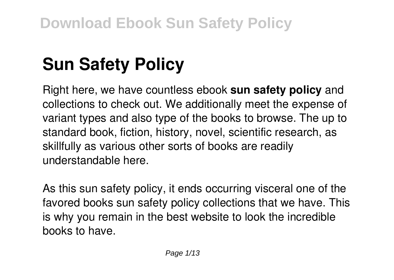# **Sun Safety Policy**

Right here, we have countless ebook **sun safety policy** and collections to check out. We additionally meet the expense of variant types and also type of the books to browse. The up to standard book, fiction, history, novel, scientific research, as skillfully as various other sorts of books are readily understandable here.

As this sun safety policy, it ends occurring visceral one of the favored books sun safety policy collections that we have. This is why you remain in the best website to look the incredible books to have.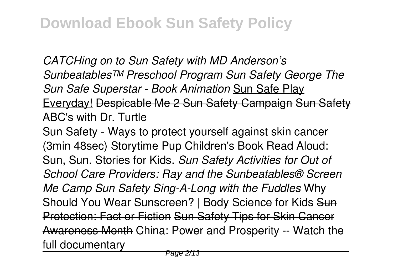*CATCHing on to Sun Safety with MD Anderson's Sunbeatables™ Preschool Program Sun Safety George The Sun Safe Superstar - Book Animation* Sun Safe Play Everyday! Despicable Me 2 Sun Safety Campaign Sun Safety ABC's with Dr. Turtle

Sun Safety - Ways to protect yourself against skin cancer (3min 48sec) Storytime Pup Children's Book Read Aloud: Sun, Sun. Stories for Kids. *Sun Safety Activities for Out of School Care Providers: Ray and the Sunbeatables® Screen Me Camp Sun Safety Sing-A-Long with the Fuddles* Why Should You Wear Sunscreen? | Body Science for Kids Sun Protection: Fact or Fiction Sun Safety Tips for Skin Cancer Awareness Month China: Power and Prosperity -- Watch the full documentary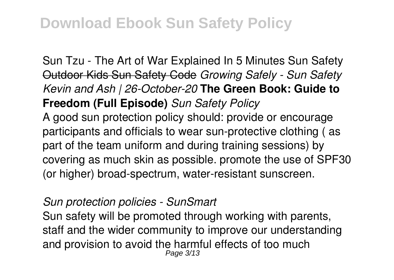Sun Tzu - The Art of War Explained In 5 Minutes Sun Safety Outdoor Kids Sun Safety Code *Growing Safely - Sun Safety Kevin and Ash | 26-October-20* **The Green Book: Guide to Freedom (Full Episode)** *Sun Safety Policy* A good sun protection policy should: provide or encourage participants and officials to wear sun-protective clothing ( as part of the team uniform and during training sessions) by covering as much skin as possible. promote the use of SPF30 (or higher) broad-spectrum, water-resistant sunscreen.

*Sun protection policies - SunSmart*

Sun safety will be promoted through working with parents, staff and the wider community to improve our understanding and provision to avoid the harmful effects of too much Page 3/13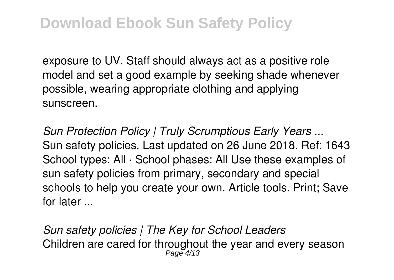exposure to UV. Staff should always act as a positive role model and set a good example by seeking shade whenever possible, wearing appropriate clothing and applying sunscreen.

*Sun Protection Policy | Truly Scrumptious Early Years ...* Sun safety policies. Last updated on 26 June 2018. Ref: 1643 School types: All · School phases: All Use these examples of sun safety policies from primary, secondary and special schools to help you create your own. Article tools. Print; Save for later ...

*Sun safety policies | The Key for School Leaders* Children are cared for throughout the year and every season Page 4/13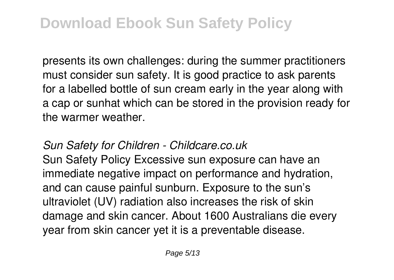presents its own challenges: during the summer practitioners must consider sun safety. It is good practice to ask parents for a labelled bottle of sun cream early in the year along with a cap or sunhat which can be stored in the provision ready for the warmer weather.

### *Sun Safety for Children - Childcare.co.uk*

Sun Safety Policy Excessive sun exposure can have an immediate negative impact on performance and hydration, and can cause painful sunburn. Exposure to the sun's ultraviolet (UV) radiation also increases the risk of skin damage and skin cancer. About 1600 Australians die every year from skin cancer yet it is a preventable disease.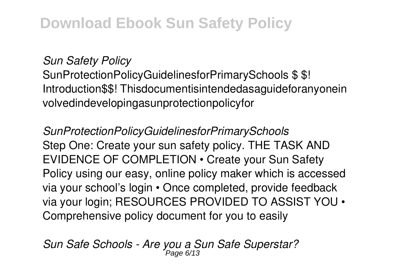*Sun Safety Policy*

SunProtectionPolicyGuidelinesforPrimarySchools \$ \$! Introduction\$\$! Thisdocumentisintendedasaguideforanyonein volvedindevelopingasunprotectionpolicyfor

*SunProtectionPolicyGuidelinesforPrimarySchools* Step One: Create your sun safety policy. THE TASK AND EVIDENCE OF COMPLETION • Create your Sun Safety Policy using our easy, online policy maker which is accessed via your school's login • Once completed, provide feedback via your login; RESOURCES PROVIDED TO ASSIST YOU • Comprehensive policy document for you to easily

*Sun Safe Schools - Are you a Sun Safe Superstar?* Page 6/13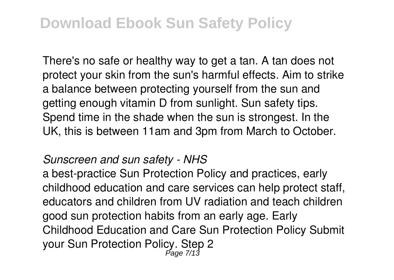There's no safe or healthy way to get a tan. A tan does not protect your skin from the sun's harmful effects. Aim to strike a balance between protecting yourself from the sun and getting enough vitamin D from sunlight. Sun safety tips. Spend time in the shade when the sun is strongest. In the UK, this is between 11am and 3pm from March to October.

#### *Sunscreen and sun safety - NHS*

a best-practice Sun Protection Policy and practices, early childhood education and care services can help protect staff, educators and children from UV radiation and teach children good sun protection habits from an early age. Early Childhood Education and Care Sun Protection Policy Submit your Sun Protection Policy. Step 2 Page 7/13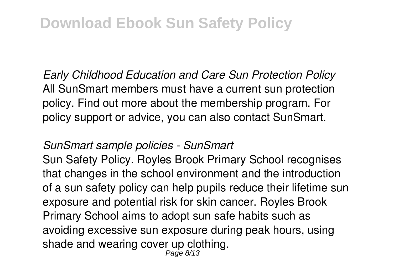*Early Childhood Education and Care Sun Protection Policy* All SunSmart members must have a current sun protection policy. Find out more about the membership program. For policy support or advice, you can also contact SunSmart.

### *SunSmart sample policies - SunSmart*

Sun Safety Policy. Royles Brook Primary School recognises that changes in the school environment and the introduction of a sun safety policy can help pupils reduce their lifetime sun exposure and potential risk for skin cancer. Royles Brook Primary School aims to adopt sun safe habits such as avoiding excessive sun exposure during peak hours, using shade and wearing cover up clothing. Page 8/13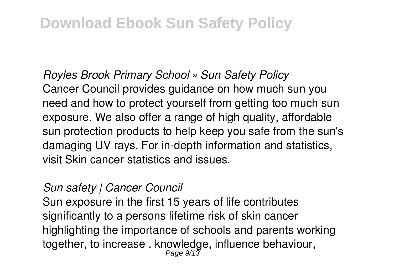### *Royles Brook Primary School » Sun Safety Policy* Cancer Council provides guidance on how much sun you need and how to protect yourself from getting too much sun exposure. We also offer a range of high quality, affordable sun protection products to help keep you safe from the sun's damaging UV rays. For in-depth information and statistics, visit Skin cancer statistics and issues.

### *Sun safety | Cancer Council*

Sun exposure in the first 15 years of life contributes significantly to a persons lifetime risk of skin cancer highlighting the importance of schools and parents working together, to increase . knowledge, influence behaviour, Page 9/13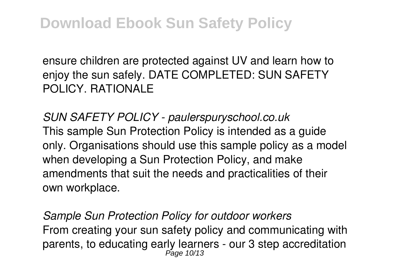ensure children are protected against UV and learn how to enjoy the sun safely. DATE COMPLETED: SUN SAFETY POLICY. RATIONALE

*SUN SAFETY POLICY - paulerspuryschool.co.uk* This sample Sun Protection Policy is intended as a guide only. Organisations should use this sample policy as a model when developing a Sun Protection Policy, and make amendments that suit the needs and practicalities of their own workplace.

*Sample Sun Protection Policy for outdoor workers* From creating your sun safety policy and communicating with parents, to educating early learners - our 3 step accreditation<br>Page 10/13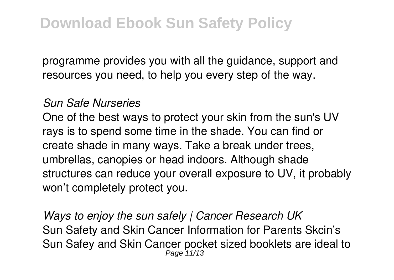programme provides you with all the guidance, support and resources you need, to help you every step of the way.

#### *Sun Safe Nurseries*

One of the best ways to protect your skin from the sun's UV rays is to spend some time in the shade. You can find or create shade in many ways. Take a break under trees, umbrellas, canopies or head indoors. Although shade structures can reduce your overall exposure to UV, it probably won't completely protect you.

*Ways to enjoy the sun safely | Cancer Research UK* Sun Safety and Skin Cancer Information for Parents Skcin's Sun Safey and Skin Cancer pocket sized booklets are ideal to Page 11/13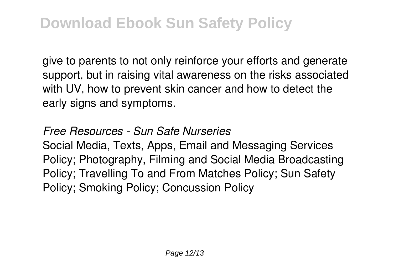give to parents to not only reinforce your efforts and generate support, but in raising vital awareness on the risks associated with UV, how to prevent skin cancer and how to detect the early signs and symptoms.

*Free Resources - Sun Safe Nurseries* Social Media, Texts, Apps, Email and Messaging Services Policy; Photography, Filming and Social Media Broadcasting Policy; Travelling To and From Matches Policy; Sun Safety Policy; Smoking Policy; Concussion Policy